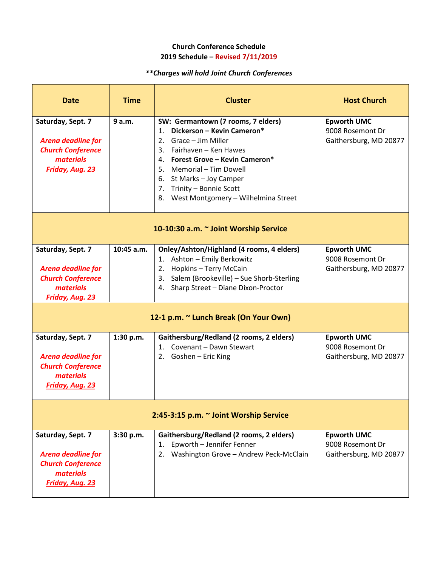# *\*\*Charges will hold Joint Church Conferences*

| <b>Date</b>                                                                                                       | <b>Time</b>  | <b>Cluster</b>                                                                                                                                                                                                                                                                                    | <b>Host Church</b>                                               |  |  |
|-------------------------------------------------------------------------------------------------------------------|--------------|---------------------------------------------------------------------------------------------------------------------------------------------------------------------------------------------------------------------------------------------------------------------------------------------------|------------------------------------------------------------------|--|--|
| Saturday, Sept. 7<br><b>Arena deadline for</b><br><b>Church Conference</b><br>materials<br><b>Friday, Aug. 23</b> | 9 a.m.       | SW: Germantown (7 rooms, 7 elders)<br>Dickerson - Kevin Cameron*<br>1.<br>2. Grace - Jim Miller<br>3. Fairhaven - Ken Hawes<br>4. Forest Grove - Kevin Cameron*<br>5. Memorial – Tim Dowell<br>6. St Marks - Joy Camper<br>7. Trinity - Bonnie Scott<br>West Montgomery - Wilhelmina Street<br>8. | <b>Epworth UMC</b><br>9008 Rosemont Dr<br>Gaithersburg, MD 20877 |  |  |
| 10-10:30 a.m. ~ Joint Worship Service                                                                             |              |                                                                                                                                                                                                                                                                                                   |                                                                  |  |  |
| Saturday, Sept. 7<br><b>Arena deadline for</b><br><b>Church Conference</b><br>materials<br><b>Friday, Aug. 23</b> | $10:45$ a.m. | Onley/Ashton/Highland (4 rooms, 4 elders)<br>1. Ashton - Emily Berkowitz<br>Hopkins - Terry McCain<br>2.<br>3. Salem (Brookeville) - Sue Shorb-Sterling<br>Sharp Street - Diane Dixon-Proctor<br>4.                                                                                               | <b>Epworth UMC</b><br>9008 Rosemont Dr<br>Gaithersburg, MD 20877 |  |  |
| 12-1 p.m. ~ Lunch Break (On Your Own)                                                                             |              |                                                                                                                                                                                                                                                                                                   |                                                                  |  |  |
| Saturday, Sept. 7<br><b>Arena deadline for</b><br><b>Church Conference</b><br>materials<br>Friday, Aug. 23        | 1:30 p.m.    | Gaithersburg/Redland (2 rooms, 2 elders)<br>1. Covenant - Dawn Stewart<br>2. Goshen - Eric King                                                                                                                                                                                                   | <b>Epworth UMC</b><br>9008 Rosemont Dr<br>Gaithersburg, MD 20877 |  |  |
| 2:45-3:15 p.m. ~ Joint Worship Service                                                                            |              |                                                                                                                                                                                                                                                                                                   |                                                                  |  |  |
| Saturday, Sept. 7<br>Arena deadline for<br><b>Church Conference</b><br>materials<br><b>Friday, Aug. 23</b>        | 3:30 p.m.    | Gaithersburg/Redland (2 rooms, 2 elders)<br>Epworth - Jennifer Fenner<br>1.<br>2. Washington Grove - Andrew Peck-McClain                                                                                                                                                                          | <b>Epworth UMC</b><br>9008 Rosemont Dr<br>Gaithersburg, MD 20877 |  |  |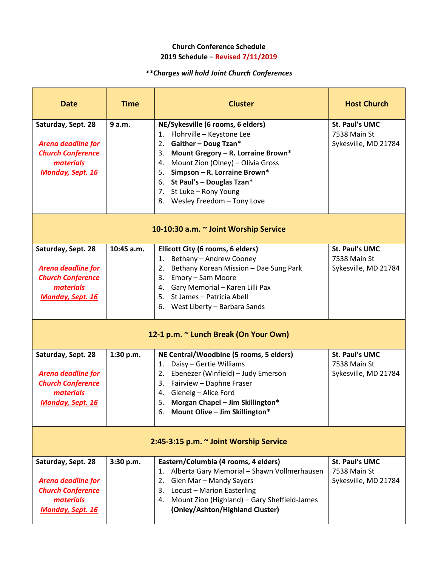# *\*\*Charges will hold Joint Church Conferences*

| <b>Date</b>                                                                                                         | <b>Time</b> | <b>Cluster</b>                                                                                                                                                                                                                                                                                                                 | <b>Host Church</b>                                            |  |  |  |
|---------------------------------------------------------------------------------------------------------------------|-------------|--------------------------------------------------------------------------------------------------------------------------------------------------------------------------------------------------------------------------------------------------------------------------------------------------------------------------------|---------------------------------------------------------------|--|--|--|
| Saturday, Sept. 28<br><b>Arena deadline for</b><br><b>Church Conference</b><br>materials<br><b>Monday, Sept. 16</b> | 9 a.m.      | NE/Sykesville (6 rooms, 6 elders)<br>1. Flohrville - Keystone Lee<br>Gaither - Doug Tzan*<br>2.<br>Mount Gregory - R. Lorraine Brown*<br>3.<br>Mount Zion (Olney) - Olivia Gross<br>4.<br>Simpson - R. Lorraine Brown*<br>5.<br>St Paul's - Douglas Tzan*<br>6.<br>7. St Luke - Rony Young<br>Wesley Freedom - Tony Love<br>8. | <b>St. Paul's UMC</b><br>7538 Main St<br>Sykesville, MD 21784 |  |  |  |
| 10-10:30 a.m. ~ Joint Worship Service                                                                               |             |                                                                                                                                                                                                                                                                                                                                |                                                               |  |  |  |
| Saturday, Sept. 28<br><b>Arena deadline for</b><br><b>Church Conference</b><br>materials<br>Monday, Sept. 16        | 10:45 a.m.  | Ellicott City (6 rooms, 6 elders)<br>Bethany - Andrew Cooney<br>1.<br>Bethany Korean Mission - Dae Sung Park<br>2.<br>Emory - Sam Moore<br>3.<br>Gary Memorial - Karen Lilli Pax<br>4.<br>St James - Patricia Abell<br>5.<br>6. West Liberty - Barbara Sands                                                                   | <b>St. Paul's UMC</b><br>7538 Main St<br>Sykesville, MD 21784 |  |  |  |
| 12-1 p.m. ~ Lunch Break (On Your Own)                                                                               |             |                                                                                                                                                                                                                                                                                                                                |                                                               |  |  |  |
| Saturday, Sept. 28<br><b>Arena deadline for</b><br><b>Church Conference</b><br>materials<br><b>Monday, Sept. 16</b> | 1:30 p.m.   | NE Central/Woodbine (5 rooms, 5 elders)<br>Daisy - Gertie Williams<br>1.<br>Ebenezer (Winfield) - Judy Emerson<br>2.<br>Fairview - Daphne Fraser<br>3.<br>Glenelg - Alice Ford<br>4.<br>Morgan Chapel - Jim Skillington*<br>5.<br>6. Mount Olive - Jim Skillington*                                                            | St. Paul's UMC<br>7538 Main St<br>Sykesville, MD 21784        |  |  |  |
| 2:45-3:15 p.m. ~ Joint Worship Service                                                                              |             |                                                                                                                                                                                                                                                                                                                                |                                                               |  |  |  |
| Saturday, Sept. 28<br><b>Arena deadline for</b><br><b>Church Conference</b><br>materials<br><b>Monday, Sept. 16</b> | 3:30 p.m.   | Eastern/Columbia (4 rooms, 4 elders)<br>Alberta Gary Memorial - Shawn Vollmerhausen<br>1.<br>Glen Mar - Mandy Sayers<br>2.<br>Locust - Marion Easterling<br>3.<br>4. Mount Zion (Highland) - Gary Sheffield-James<br>(Onley/Ashton/Highland Cluster)                                                                           | St. Paul's UMC<br>7538 Main St<br>Sykesville, MD 21784        |  |  |  |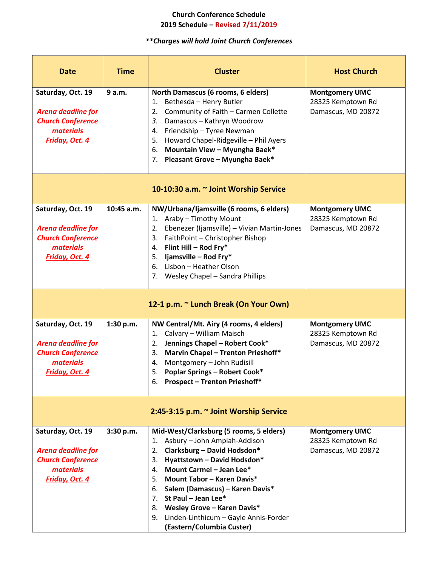# *\*\*Charges will hold Joint Church Conferences*

| <b>Date</b>                                                                                                      | <b>Time</b> | <b>Cluster</b>                                                                                                                                                                                                                                                                                                                                                                                                       | <b>Host Church</b>                                               |  |  |  |
|------------------------------------------------------------------------------------------------------------------|-------------|----------------------------------------------------------------------------------------------------------------------------------------------------------------------------------------------------------------------------------------------------------------------------------------------------------------------------------------------------------------------------------------------------------------------|------------------------------------------------------------------|--|--|--|
| Saturday, Oct. 19<br><b>Arena deadline for</b><br><b>Church Conference</b><br><i>materials</i><br>Friday, Oct. 4 | 9 a.m.      | North Damascus (6 rooms, 6 elders)<br>Bethesda - Henry Butler<br>1.<br>Community of Faith - Carmen Collette<br>2.<br>Damascus - Kathryn Woodrow<br>3.<br>Friendship - Tyree Newman<br>4.<br>Howard Chapel-Ridgeville - Phil Ayers<br>5.<br>Mountain View - Myungha Baek*<br>6.<br>Pleasant Grove - Myungha Baek*<br>7.                                                                                               | <b>Montgomery UMC</b><br>28325 Kemptown Rd<br>Damascus, MD 20872 |  |  |  |
| 10-10:30 a.m. ~ Joint Worship Service                                                                            |             |                                                                                                                                                                                                                                                                                                                                                                                                                      |                                                                  |  |  |  |
| Saturday, Oct. 19<br>Arena deadline for<br><b>Church Conference</b><br><i>materials</i><br>Friday, Oct. 4        | 10:45 a.m.  | NW/Urbana/Ijamsville (6 rooms, 6 elders)<br>Araby - Timothy Mount<br>1.<br>Ebenezer (Ijamsville) - Vivian Martin-Jones<br>2.<br>FaithPoint - Christopher Bishop<br>3.<br>Flint Hill - Rod Fry*<br>4.<br>Ijamsville - Rod Fry*<br>5.<br>Lisbon - Heather Olson<br>6.<br>Wesley Chapel - Sandra Phillips<br>7.                                                                                                         | <b>Montgomery UMC</b><br>28325 Kemptown Rd<br>Damascus, MD 20872 |  |  |  |
| 12-1 p.m. ~ Lunch Break (On Your Own)                                                                            |             |                                                                                                                                                                                                                                                                                                                                                                                                                      |                                                                  |  |  |  |
| Saturday, Oct. 19<br><b>Arena deadline for</b><br><b>Church Conference</b><br><i>materials</i><br>Friday, Oct. 4 | 1:30 p.m.   | NW Central/Mt. Airy (4 rooms, 4 elders)<br>Calvary - William Maisch<br>1.<br>Jennings Chapel - Robert Cook*<br>2.<br><b>Marvin Chapel - Trenton Prieshoff*</b><br>3.<br>Montgomery - John Rudisill<br>4.<br><b>Poplar Springs - Robert Cook*</b><br>5.<br><b>Prospect - Trenton Prieshoff*</b><br>6.                                                                                                                 | <b>Montgomery UMC</b><br>28325 Kemptown Rd<br>Damascus, MD 20872 |  |  |  |
| 2:45-3:15 p.m. ~ Joint Worship Service                                                                           |             |                                                                                                                                                                                                                                                                                                                                                                                                                      |                                                                  |  |  |  |
| Saturday, Oct. 19<br>Arena deadline for<br><b>Church Conference</b><br><i>materials</i><br>Friday, Oct. 4        | 3:30 p.m.   | Mid-West/Clarksburg (5 rooms, 5 elders)<br>Asbury - John Ampiah-Addison<br>1.<br>Clarksburg - David Hodsdon*<br>2.<br>Hyattstown - David Hodsdon*<br>3.<br>Mount Carmel - Jean Lee*<br>4.<br>Mount Tabor - Karen Davis*<br>5.<br>6. Salem (Damascus) - Karen Davis*<br>St Paul – Jean Lee $*$<br>7.<br>Wesley Grove - Karen Davis*<br>8.<br>Linden-Linthicum - Gayle Annis-Forder<br>9.<br>(Eastern/Columbia Custer) | <b>Montgomery UMC</b><br>28325 Kemptown Rd<br>Damascus, MD 20872 |  |  |  |